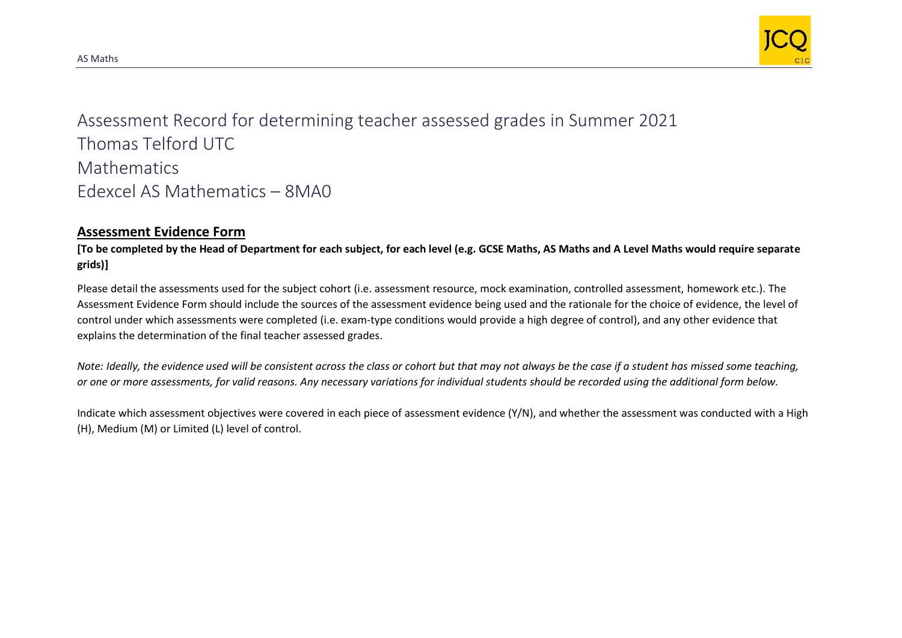

Assessment Record for determining teacher assessed grades in Summer 2021 Thomas Telford UTC **Mathematics** Edexcel AS Mathematics – 8MA0

## **Assessment Evidence Form**

**[To be completed by the Head of Department for each subject, for each level (e.g. GCSE Maths, AS Maths and A Level Maths would require separate grids)]**

Please detail the assessments used for the subject cohort (i.e. assessment resource, mock examination, controlled assessment, homework etc.). The Assessment Evidence Form should include the sources of the assessment evidence being used and the rationale for the choice of evidence, the level of control under which assessments were completed (i.e. exam-type conditions would provide a high degree of control), and any other evidence that explains the determination of the final teacher assessed grades.

*Note: Ideally, the evidence used will be consistent across the class or cohort but that may not always be the case if a student has missed some teaching, or one or more assessments, for valid reasons. Any necessary variations for individual students should be recorded using the additional form below.* 

Indicate which assessment objectives were covered in each piece of assessment evidence (Y/N), and whether the assessment was conducted with a High (H), Medium (M) or Limited (L) level of control.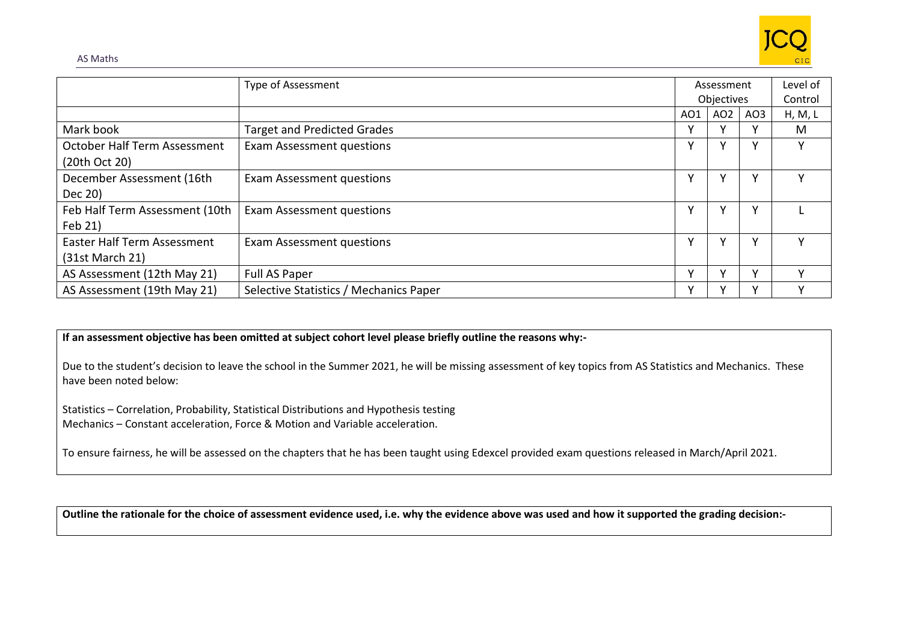

|                                | Type of Assessment                     | Assessment |                 | Level of        |         |
|--------------------------------|----------------------------------------|------------|-----------------|-----------------|---------|
|                                |                                        | Objectives |                 |                 | Control |
|                                |                                        | AO1        | AO <sub>2</sub> | AO <sub>3</sub> | H, M, L |
| Mark book                      | <b>Target and Predicted Grades</b>     |            | v               |                 | M       |
| October Half Term Assessment   | Exam Assessment questions              |            | γ               |                 | Υ       |
| (20th Oct 20)                  |                                        |            |                 |                 |         |
| December Assessment (16th      | Exam Assessment questions              |            | v               |                 | v       |
| Dec 20)                        |                                        |            |                 |                 |         |
| Feb Half Term Assessment (10th | Exam Assessment questions              |            | ۷               |                 |         |
| Feb 21)                        |                                        |            |                 |                 |         |
| Easter Half Term Assessment    | Exam Assessment questions              | v          | ۷               |                 | ٧       |
| (31st March 21)                |                                        |            |                 |                 |         |
| AS Assessment (12th May 21)    | Full AS Paper                          |            | v               |                 | v       |
| AS Assessment (19th May 21)    | Selective Statistics / Mechanics Paper |            |                 |                 |         |

## **If an assessment objective has been omitted at subject cohort level please briefly outline the reasons why:-**

Due to the student's decision to leave the school in the Summer 2021, he will be missing assessment of key topics from AS Statistics and Mechanics. These have been noted below:

Statistics – Correlation, Probability, Statistical Distributions and Hypothesis testing Mechanics – Constant acceleration, Force & Motion and Variable acceleration.

To ensure fairness, he will be assessed on the chapters that he has been taught using Edexcel provided exam questions released in March/April 2021.

**Outline the rationale for the choice of assessment evidence used, i.e. why the evidence above was used and how it supported the grading decision:-**